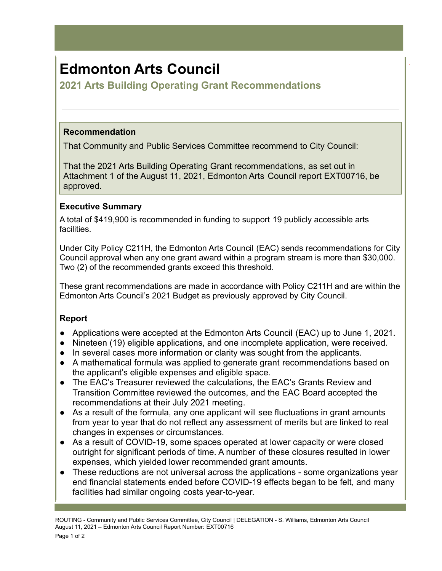# **Edmonton Arts Council**

**2021 Arts Building Operating Grant Recommendations**

### **Recommendation**

That Community and Public Services Committee recommend to City Council:

That the 2021 Arts Building Operating Grant recommendations, as set out in Attachment 1 of the August 11, 2021, Edmonton Arts Council report EXT00716, be approved.

.

# **Executive Summary**

A total of \$419,900 is recommended in funding to support 19 publicly accessible arts facilities.

Under City Policy C211H, the Edmonton Arts Council (EAC) sends recommendations for City Council approval when any one grant award within a program stream is more than \$30,000. Two (2) of the recommended grants exceed this threshold.

These grant recommendations are made in accordance with Policy C211H and are within the Edmonton Arts Council's 2021 Budget as previously approved by City Council.

# **Report**

- Applications were accepted at the Edmonton Arts Council (EAC) up to June 1, 2021.
- Nineteen (19) eligible applications, and one incomplete application, were received.
- In several cases more information or clarity was sought from the applicants.
- A mathematical formula was applied to generate grant recommendations based on the applicant's eligible expenses and eligible space.
- The EAC's Treasurer reviewed the calculations, the EAC's Grants Review and Transition Committee reviewed the outcomes, and the EAC Board accepted the recommendations at their July 2021 meeting.
- As a result of the formula, any one applicant will see fluctuations in grant amounts from year to year that do not reflect any assessment of merits but are linked to real changes in expenses or circumstances.
- As a result of COVID-19, some spaces operated at lower capacity or were closed outright for significant periods of time. A number of these closures resulted in lower expenses, which yielded lower recommended grant amounts.
- These reductions are not universal across the applications some organizations year end financial statements ended before COVID-19 effects began to be felt, and many facilities had similar ongoing costs year-to-year.